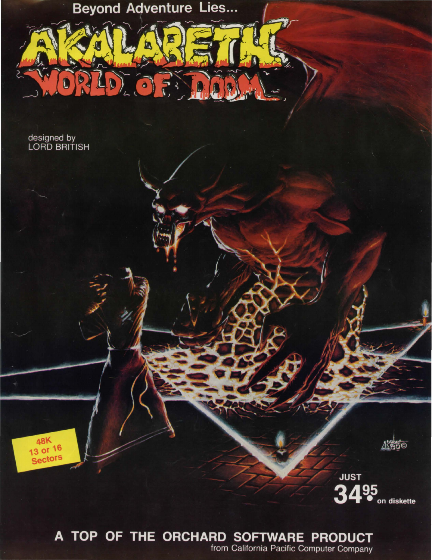**Beyond Adventure Lies...** 

 $\overline{\Omega}$ 

designed by<br>LORD BRITISH

48K<br>13 or 16<br>Sectors



**JUST** 495 З on diskette

# A TOP OF THE ORCHARD SOFTWARE PRODUCT

from California Pacific Computer Company